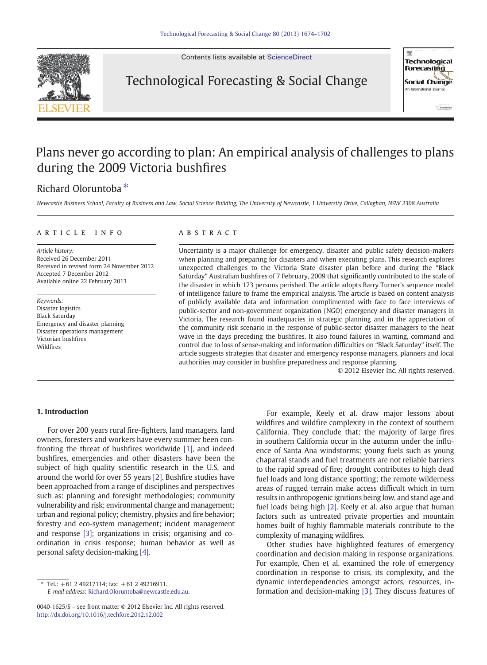Contents lists available at [ScienceDirect](http://www.sciencedirect.com/science/journal/00401625)



Technological Forecasting & Social Change



## Plans never go according to plan: An empirical analysis of challenges to plans during the 2009 Victoria bushfires

## Richard Oloruntoba ⁎

Newcastle Business School, Faculty of Business and Law, Social Science Building, The University of Newcastle, 1 University Drive, Callaghan, NSW 2308 Australia

### article info abstract

Article history: Received 26 December 2011 Received in revised form 24 November 2012 Accepted 7 December 2012 Available online 22 February 2013

Keywords: Disaster logistics Black Saturday Emergency and disaster planning Disaster operations management Victorian bushfires Wildfires

Uncertainty is a major challenge for emergency, disaster and public safety decision-makers when planning and preparing for disasters and when executing plans. This research explores unexpected challenges to the Victoria State disaster plan before and during the "Black Saturday" Australian bushfires of 7 February, 2009 that significantly contributed to the scale of the disaster in which 173 persons perished. The article adopts Barry Turner's sequence model of intelligence failure to frame the empirical analysis. The article is based on content analysis of publicly available data and information complimented with face to face interviews of public-sector and non-government organization (NGO) emergency and disaster managers in Victoria. The research found inadequacies in strategic planning and in the appreciation of the community risk scenario in the response of public-sector disaster managers to the heat wave in the days preceding the bushfires. It also found failures in warning, command and control due to loss of sense-making and information difficulties on "Black Saturday" itself. The article suggests strategies that disaster and emergency response managers, planners and local authorities may consider in bushfire preparedness and response planning.

© 2012 Elsevier Inc. All rights reserved.

### 1. Introduction

For over 200 years rural fire-fighters, land managers, land owners, foresters and workers have every summer been confronting the threat of bushfires worldwide [\[1\]](#page--1-0), and indeed bushfires, emergencies and other disasters have been the subject of high quality scientific research in the U.S, and around the world for over 55 years [\[2\]](#page--1-0). Bushfire studies have been approached from a range of disciplines and perspectives such as: planning and foresight methodologies; community vulnerability and risk; environmental change and management; urban and regional policy; chemistry, physics and fire behavior; forestry and eco-system management; incident management and response [\[3\];](#page--1-0) organizations in crisis; organising and coordination in crisis response; human behavior as well as personal safety decision-making [\[4\]](#page--1-0).

Tel.:  $+61$  2 49217114; fax:  $+61$  2 49216911. E-mail address: [Richard.Oloruntoba@newcastle.edu.au](mailto:Richard.Oloruntoba@newcastle.edu.au).

For example, Keely et al. draw major lessons about wildfires and wildfire complexity in the context of southern California. They conclude that: the majority of large fires in southern California occur in the autumn under the influence of Santa Ana windstorms; young fuels such as young chaparral stands and fuel treatments are not reliable barriers to the rapid spread of fire; drought contributes to high dead fuel loads and long distance spotting; the remote wilderness areas of rugged terrain make access difficult which in turn results in anthropogenic ignitions being low, and stand age and fuel loads being high [\[2\]](#page--1-0). Keely et al. also argue that human factors such as untreated private properties and mountain homes built of highly flammable materials contribute to the complexity of managing wildfires.

Other studies have highlighted features of emergency coordination and decision making in response organizations. For example, Chen et al. examined the role of emergency coordination in response to crisis, its complexity, and the dynamic interdependencies amongst actors, resources, information and decision-making [\[3\].](#page--1-0) They discuss features of

<sup>0040-1625/\$</sup> – see front matter © 2012 Elsevier Inc. All rights reserved. <http://dx.doi.org/10.1016/j.techfore.2012.12.002>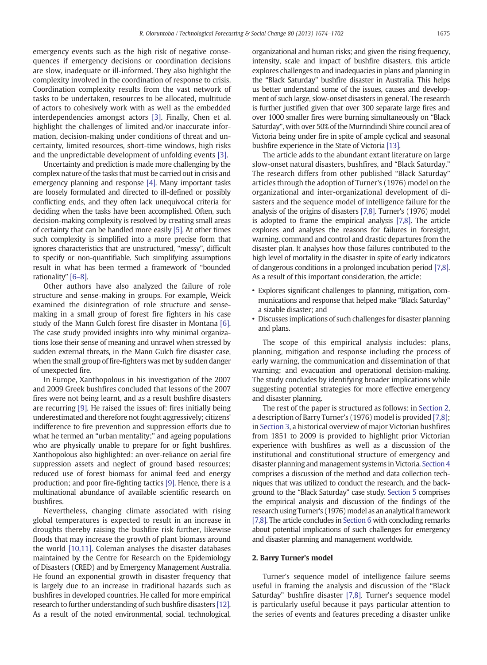emergency events such as the high risk of negative consequences if emergency decisions or coordination decisions are slow, inadequate or ill-informed. They also highlight the complexity involved in the coordination of response to crisis. Coordination complexity results from the vast network of tasks to be undertaken, resources to be allocated, multitude of actors to cohesively work with as well as the embedded interdependencies amongst actors [\[3\].](#page--1-0) Finally, Chen et al. highlight the challenges of limited and/or inaccurate information, decision-making under conditions of threat and uncertainty, limited resources, short-time windows, high risks and the unpredictable development of unfolding events [\[3\]](#page--1-0).

Uncertainty and prediction is made more challenging by the complex nature of the tasks that must be carried out in crisis and emergency planning and response [\[4\].](#page--1-0) Many important tasks are loosely formulated and directed to ill-defined or possibly conflicting ends, and they often lack unequivocal criteria for deciding when the tasks have been accomplished. Often, such decision-making complexity is resolved by creating small areas of certainty that can be handled more easily [\[5\].](#page--1-0) At other times such complexity is simplified into a more precise form that ignores characteristics that are unstructured, "messy", difficult to specify or non-quantifiable. Such simplifying assumptions result in what has been termed a framework of "bounded rationality" [6–[8\].](#page--1-0)

Other authors have also analyzed the failure of role structure and sense-making in groups. For example, Weick examined the disintegration of role structure and sensemaking in a small group of forest fire fighters in his case study of the Mann Gulch forest fire disaster in Montana [\[6\]](#page--1-0). The case study provided insights into why minimal organizations lose their sense of meaning and unravel when stressed by sudden external threats, in the Mann Gulch fire disaster case, when the small group of fire-fighters was met by sudden danger of unexpected fire.

In Europe, Xanthopolous in his investigation of the 2007 and 2009 Greek bushfires concluded that lessons of the 2007 fires were not being learnt, and as a result bushfire disasters are recurring [\[9\]](#page--1-0). He raised the issues of: fires initially being underestimated and therefore not fought aggressively; citizens' indifference to fire prevention and suppression efforts due to what he termed an "urban mentality;" and ageing populations who are physically unable to prepare for or fight bushfires. Xanthopolous also highlighted: an over-reliance on aerial fire suppression assets and neglect of ground based resources; reduced use of forest biomass for animal feed and energy production; and poor fire-fighting tactics [\[9\].](#page--1-0) Hence, there is a multinational abundance of available scientific research on bushfires.

Nevertheless, changing climate associated with rising global temperatures is expected to result in an increase in droughts thereby raising the bushfire risk further, likewise floods that may increase the growth of plant biomass around the world [\[10,11\]](#page--1-0). Coleman analyses the disaster databases maintained by the Centre for Research on the Epidemiology of Disasters (CRED) and by Emergency Management Australia. He found an exponential growth in disaster frequency that is largely due to an increase in traditional hazards such as bushfires in developed countries. He called for more empirical research to further understanding of such bushfire disasters [\[12\]](#page--1-0). As a result of the noted environmental, social, technological, organizational and human risks; and given the rising frequency, intensity, scale and impact of bushfire disasters, this article explores challenges to and inadequacies in plans and planning in the "Black Saturday" bushfire disaster in Australia. This helps us better understand some of the issues, causes and development of such large, slow-onset disasters in general. The research is further justified given that over 300 separate large fires and over 1000 smaller fires were burning simultaneously on "Black Saturday", with over 50% of the Murrindindi Shire council area of Victoria being under fire in spite of ample cyclical and seasonal bushfire experience in the State of Victoria [\[13\]](#page--1-0).

The article adds to the abundant extant literature on large slow-onset natural disasters, bushfires, and "Black Saturday." The research differs from other published "Black Saturday" articles through the adoption of Turner's (1976) model on the organizational and inter-organizational development of disasters and the sequence model of intelligence failure for the analysis of the origins of disasters [\[7,8\].](#page--1-0) Turner's (1976) model is adopted to frame the empirical analysis [\[7,8\].](#page--1-0) The article explores and analyses the reasons for failures in foresight, warning, command and control and drastic departures from the disaster plan. It analyses how those failures contributed to the high level of mortality in the disaster in spite of early indicators of dangerous conditions in a prolonged incubation period [\[7,8\]](#page--1-0). As a result of this important consideration, the article:

- Explores significant challenges to planning, mitigation, communications and response that helped make "Black Saturday" a sizable disaster; and
- Discusses implications of such challenges for disaster planning and plans.

The scope of this empirical analysis includes: plans, planning, mitigation and response including the process of early warning, the communication and dissemination of that warning; and evacuation and operational decision-making. The study concludes by identifying broader implications while suggesting potential strategies for more effective emergency and disaster planning.

The rest of the paper is structured as follows: in Section 2, a description of Barry Turner's (1976) model is provided [\[7,8\]](#page--1-0); in [Section 3](#page--1-0), a historical overview of major Victorian bushfires from 1851 to 2009 is provided to highlight prior Victorian experience with bushfires as well as a discussion of the institutional and constitutional structure of emergency and disaster planning and management systems in Victoria. [Section 4](#page--1-0) comprises a discussion of the method and data collection techniques that was utilized to conduct the research, and the background to the "Black Saturday" case study. [Section 5](#page--1-0) comprises the empirical analysis and discussion of the findings of the research using Turner's (1976) model as an analytical framework [\[7,8\]](#page--1-0). The article concludes in [Section 6](#page--1-0) with concluding remarks about potential implications of such challenges for emergency and disaster planning and management worldwide.

### 2. Barry Turner's model

Turner's sequence model of intelligence failure seems useful in framing the analysis and discussion of the "Black Saturday" bushfire disaster [\[7,8\]](#page--1-0). Turner's sequence model is particularly useful because it pays particular attention to the series of events and features preceding a disaster unlike